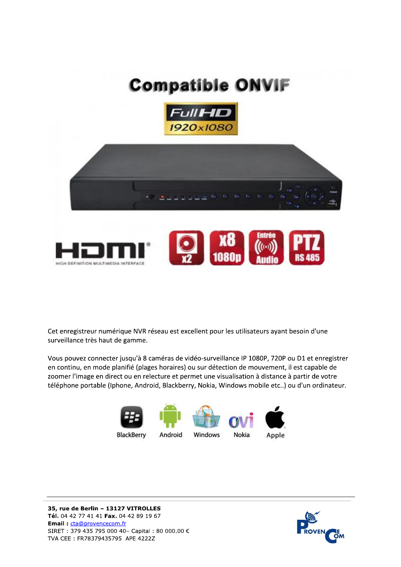## **Compatible ONVIF**





Cet enregistreur numérique NVR réseau est excellent pour les utilisateurs ayant besoin d'une surveillance très haut de gamme.

Vous pouvez connecter jusqu'à 8 caméras de vidéo-surveillance IP 1080P, 720P ou D1 et enregistrer en continu, en mode planifié (plages horaires) ou sur détection de mouvement, il est capable de zoomer l'image en direct ou en relecture et permet une visualisation à distance à partir de votre téléphone portable (Iphone, Android, Blackberry, Nokia, Windows mobile etc..) ou d'un ordinateur.





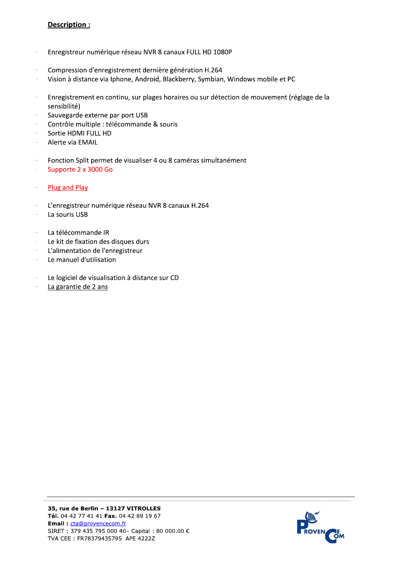## Description:

- Enregistreur numérique réseau NVR 8 canaux FULL HD 1080P  $\overline{\phantom{a}}$
- Compression d'enregistrement dernière génération H.264
- Vision à distance via Iphone, Android, Blackberry, Symbian, Windows mobile et PC j.
- Enregistrement en continu, sur plages horaires ou sur détection de mouvement (réglage de la sensibilité)
- Sauvegarde externe par port USB
- Contrôle multiple : télécommande & souris
- Sortie HDMI FULL HD
- Alerte via EMAIL
- Fonction Split permet de visualiser 4 ou 8 caméras simultanément
- Supporte 2 x 3000 Go  $\overline{\phantom{a}}$
- Plug and Play
- L'enregistreur numérique réseau NVR 8 canaux H.264
- La souris USB
- La télécommande IR
- Le kit de fixation des disques durs
- L'alimentation de l'enregistreur
- Le manuel d'utilisation  $\overline{\phantom{a}}$
- Le logiciel de visualisation à distance sur CD
- La garantie de 2 ans